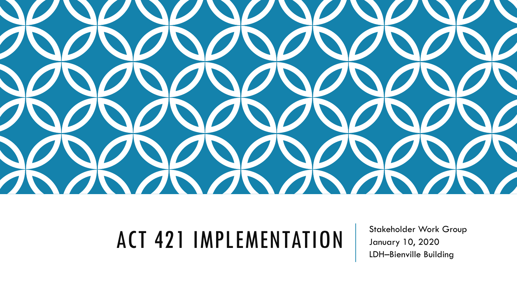

# ACT 421 IMPLEMENTATION Stakeholder Work Group

January 10, 2020 LDH–Bienville Building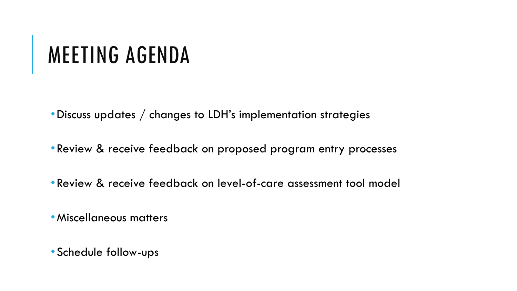#### MEETING AGENDA

•Discuss updates / changes to LDH's implementation strategies

- •Review & receive feedback on proposed program entry processes
- •Review & receive feedback on level-of-care assessment tool model

•Miscellaneous matters

•Schedule follow-ups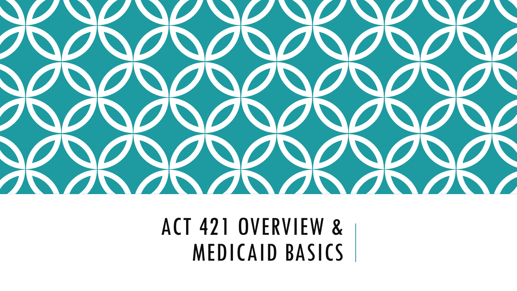

ACT 421 OVERVIEW & MEDICAID BASICS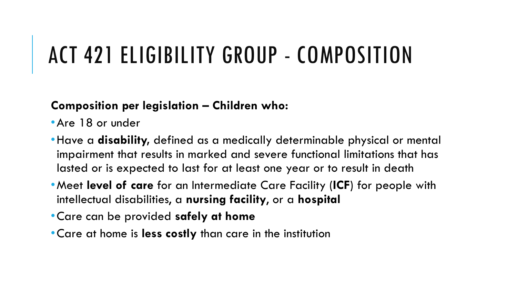#### ACT 421 ELIGIBILITY GROUP - COMPOSITION

#### **Composition per legislation – Children who:**

•Are 18 or under

- •Have a **disability,** defined as a medically determinable physical or mental impairment that results in marked and severe functional limitations that has lasted or is expected to last for at least one year or to result in death
- •Meet **level of care** for an Intermediate Care Facility (**ICF**) for people with intellectual disabilities, a **nursing facility**, or a **hospital**
- •Care can be provided **safely at home**
- •Care at home is **less costly** than care in the institution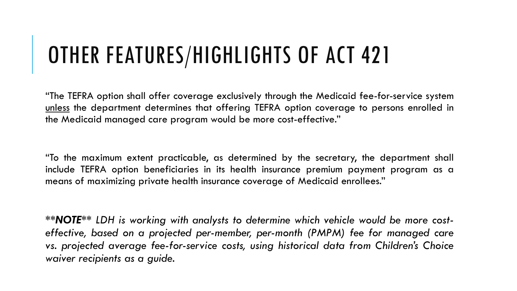### OTHER FEATURES/HIGHLIGHTS OF ACT 421

"The TEFRA option shall offer coverage exclusively through the Medicaid fee-for-service system unless the department determines that offering TEFRA option coverage to persons enrolled in the Medicaid managed care program would be more cost-effective."

"To the maximum extent practicable, as determined by the secretary, the department shall include TEFRA option beneficiaries in its health insurance premium payment program as a means of maximizing private health insurance coverage of Medicaid enrollees."

*\*\*NOTE\*\* LDH is working with analysts to determine which vehicle would be more costeffective, based on a projected per-member, per-month (PMPM) fee for managed care vs. projected average fee-for-service costs, using historical data from Children's Choice waiver recipients as a guide.*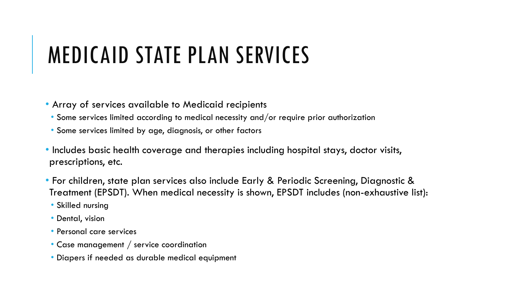### MEDICAID STATE PLAN SERVICES

• Array of services available to Medicaid recipients

- Some services limited according to medical necessity and/or require prior authorization
- Some services limited by age, diagnosis, or other factors
- Includes basic health coverage and therapies including hospital stays, doctor visits, prescriptions, etc.
- For children, state plan services also include Early & Periodic Screening, Diagnostic & Treatment (EPSDT). When medical necessity is shown, EPSDT includes (non-exhaustive list):
	- Skilled nursing
	- Dental, vision
	- Personal care services
	- Case management / service coordination
	- Diapers if needed as durable medical equipment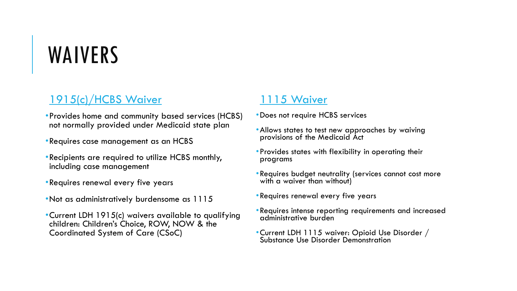## WAIVERS

#### 1915(c)/HCBS Waiver

- •Provides home and community based services (HCBS) not normally provided under Medicaid state plan
- •Requires case management as an HCBS
- •Recipients are required to utilize HCBS monthly, including case management
- •Requires renewal every five years
- •Not as administratively burdensome as 1115
- •Current LDH 1915(c) waivers available to qualifying children: Children's Choice, ROW, NOW & the Coordinated System of Care (CSoC)

#### 1115 Waiver

- •Does not require HCBS services
- Allows states to test new approaches by waiving provisions of the Medicaid Act
- •Provides states with flexibility in operating their programs
- •Requires budget neutrality (services cannot cost more with a waiver than without)
- •Requires renewal every five years
- •Requires intense reporting requirements and increased administrative burden
- •Current LDH 1115 waiver: Opioid Use Disorder / Substance Use Disorder Demonstration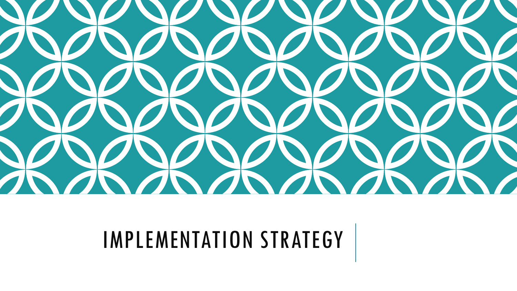

# IMPLEMENTATION STRATEGY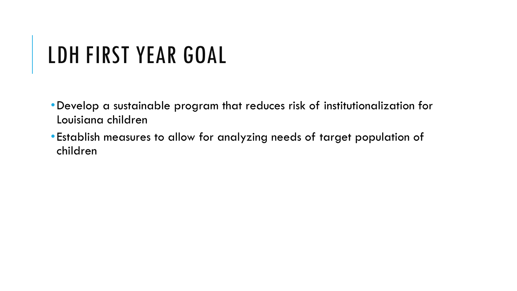### LDH FIRST YEAR GOAL

- •Develop a sustainable program that reduces risk of institutionalization for Louisiana children
- •Establish measures to allow for analyzing needs of target population of children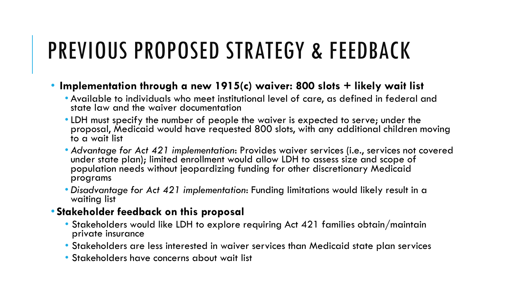### PREVIOUS PROPOSED STRATEGY & FEEDBACK

- **Implementation through a new 1915(c) waiver: 800 slots + likely wait list**
	- Available to individuals who meet institutional level of care, as defined in federal and state law and the waiver documentation
	- •LDH must specify the number of people the waiver is expected to serve; under the proposal, Medicaid would have requested 800 slots, with any additional children moving to a wait list
	- *Advantage for Act 421 implementation*: Provides waiver services (i.e., services not covered under state plan); limited enrollment would allow LDH to assess size and scope of population  $\mathsf{need}_\mathbf{S}'$  without jeopardizing funding for other discretionary Medicaid programs
	- *Disadvantage for Act 421 implementation*: Funding limitations would likely result in a waiting list

#### • **Stakeholder feedback on this proposal**

- Stakeholders would like LDH to explore requiring Act 421 families obtain/maintain private insurance
- Stakeholders are less interested in waiver services than Medicaid state plan services
- Stakeholders have concerns about wait list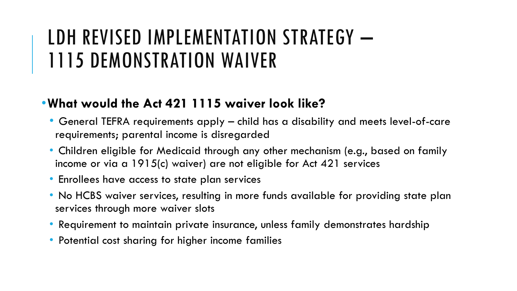#### LDH REVISED IMPLEMENTATION STRATEGY -1115 DEMONSTRATION WAIVER

#### •**What would the Act 421 1115 waiver look like?**

- General TEFRA requirements apply child has a disability and meets level-of-care requirements; parental income is disregarded
- Children eligible for Medicaid through any other mechanism (e.g., based on family income or via a 1915(c) waiver) are not eligible for Act 421 services
- Enrollees have access to state plan services
- No HCBS waiver services, resulting in more funds available for providing state plan services through more waiver slots
- Requirement to maintain private insurance, unless family demonstrates hardship
- Potential cost sharing for higher income families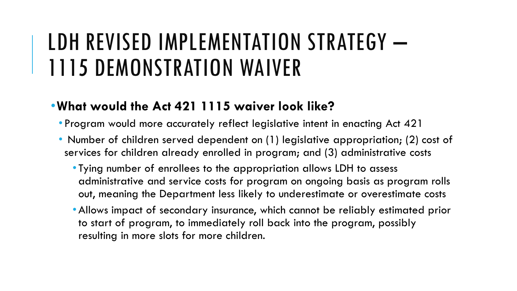#### LDH REVISED IMPLEMENTATION STRATEGY – 1115 DEMONSTRATION WAIVER

#### •**What would the Act 421 1115 waiver look like?**

- Program would more accurately reflect legislative intent in enacting Act 421
- Number of children served dependent on (1) legislative appropriation; (2) cost of services for children already enrolled in program; and (3) administrative costs
	- Tying number of enrollees to the appropriation allows LDH to assess administrative and service costs for program on ongoing basis as program rolls out, meaning the Department less likely to underestimate or overestimate costs
	- •Allows impact of secondary insurance, which cannot be reliably estimated prior to start of program, to immediately roll back into the program, possibly resulting in more slots for more children.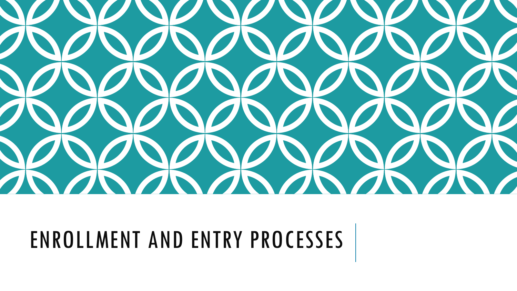

# ENROLLMENT AND ENTRY PROCESSES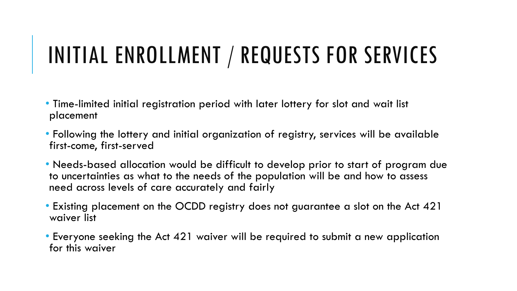### INITIAL ENROLLMENT / REQUESTS FOR SERVICES

- Time-limited initial registration period with later lottery for slot and wait list placement
- Following the lottery and initial organization of registry, services will be available first-come, first-served
- Needs-based allocation would be difficult to develop prior to start of program due to uncertainties as what to the needs of the population will be and how to assess need across levels of care accurately and fairly
- Existing placement on the OCDD registry does not guarantee a slot on the Act 421 waiver list
- Everyone seeking the Act 421 waiver will be required to submit a new application for this waiver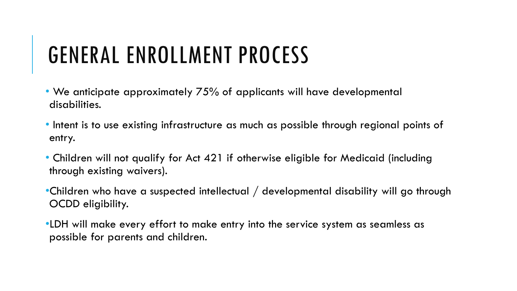### GENERAL ENROLLMENT PROCESS

- We anticipate approximately 75% of applicants will have developmental disabilities.
- Intent is to use existing infrastructure as much as possible through regional points of entry.
- Children will not qualify for Act 421 if otherwise eligible for Medicaid (including through existing waivers).
- •Children who have a suspected intellectual / developmental disability will go through OCDD eligibility.
- •LDH will make every effort to make entry into the service system as seamless as possible for parents and children.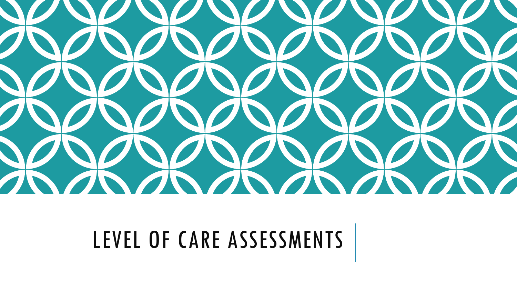

LEVEL OF CARE ASSESSMENTS